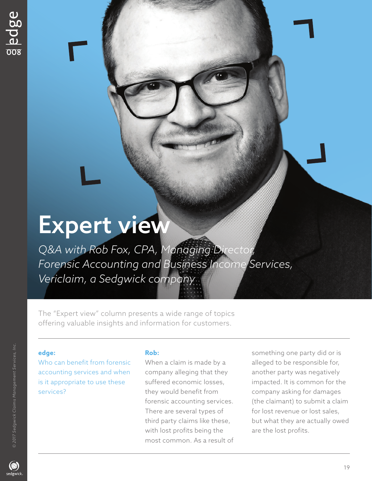# Expert view

*Q&A with Rob Fox, CPA, Managing Director, Forensic Accounting and Business Income Services, Vericlaim, a Sedgwick company* 

The "Expert view" column presents a wide range of topics offering valuable insights and information for customers.

## **edge:**

Who can benefit from forensic accounting services and when is it appropriate to use these services?

## **Rob:**

When a claim is made by a company alleging that they suffered economic losses, they would benefit from forensic accounting services. There are several types of third party claims like these, with lost profits being the most common. As a result of something one party did or is alleged to be responsible for, another party was negatively impacted. It is common for the company asking for damages (the claimant) to submit a claim for lost revenue or lost sales, but what they are actually owed are the lost profits.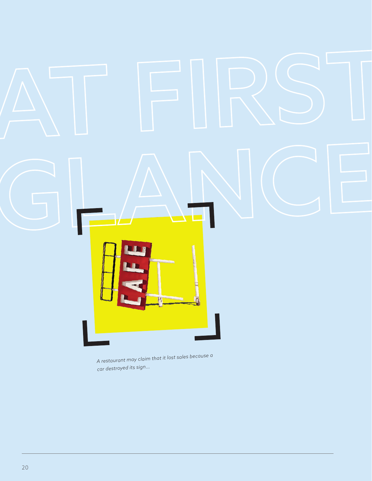

A restaurant may claim that it lost sales because a car destroyed its sign...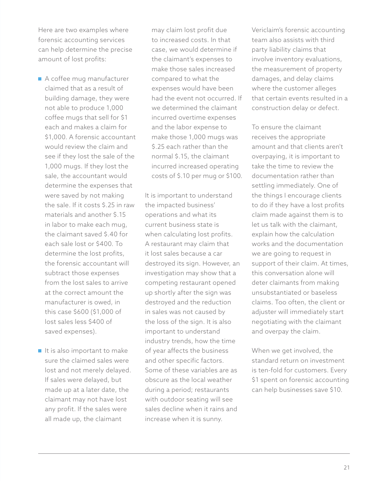Here are two examples where forensic accounting services can help determine the precise amount of lost profits:

- A coffee mug manufacturer claimed that as a result of building damage, they were not able to produce 1,000 coffee mugs that sell for \$1 each and makes a claim for \$1,000. A forensic accountant would review the claim and see if they lost the sale of the 1,000 mugs. If they lost the sale, the accountant would determine the expenses that were saved by not making the sale. If it costs \$.25 in raw materials and another \$.15 in labor to make each mug, the claimant saved \$.40 for each sale lost or \$400. To determine the lost profits, the forensic accountant will subtract those expenses from the lost sales to arrive at the correct amount the manufacturer is owed, in this case \$600 (\$1,000 of lost sales less \$400 of saved expenses).
- $\blacksquare$  It is also important to make sure the claimed sales were lost and not merely delayed. If sales were delayed, but made up at a later date, the claimant may not have lost any profit. If the sales were all made up, the claimant

may claim lost profit due to increased costs. In that case, we would determine if the claimant's expenses to make those sales increased compared to what the expenses would have been had the event not occurred. If we determined the claimant incurred overtime expenses and the labor expense to make those 1,000 mugs was \$.25 each rather than the normal \$.15, the claimant incurred increased operating costs of \$.10 per mug or \$100.

It is important to understand the impacted business' operations and what its current business state is when calculating lost profits. A restaurant may claim that it lost sales because a car destroyed its sign. However, an investigation may show that a competing restaurant opened up shortly after the sign was destroyed and the reduction in sales was not caused by the loss of the sign. It is also important to understand industry trends, how the time of year affects the business and other specific factors. Some of these variables are as obscure as the local weather during a period; restaurants with outdoor seating will see sales decline when it rains and increase when it is sunny.

Vericlaim's forensic accounting team also assists with third party liability claims that involve inventory evaluations, the measurement of property damages, and delay claims where the customer alleges that certain events resulted in a construction delay or defect.

To ensure the claimant receives the appropriate amount and that clients aren't overpaying, it is important to take the time to review the documentation rather than settling immediately. One of the things I encourage clients to do if they have a lost profits claim made against them is to let us talk with the claimant, explain how the calculation works and the documentation we are going to request in support of their claim. At times, this conversation alone will deter claimants from making unsubstantiated or baseless claims. Too often, the client or adjuster will immediately start negotiating with the claimant and overpay the claim.

When we get involved, the standard return on investment is ten-fold for customers. Every \$1 spent on forensic accounting can help businesses save \$10.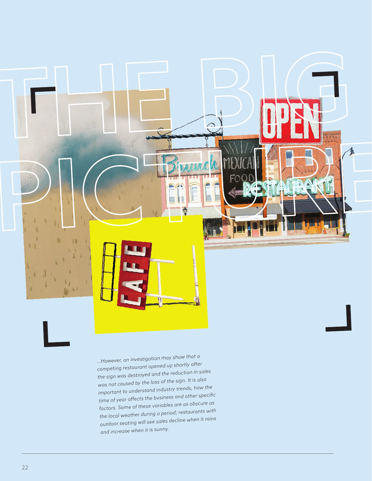